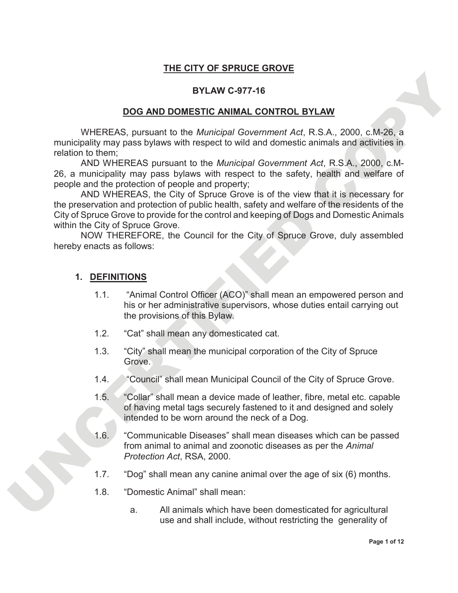### **THE CITY OF SPRUCE GROVE**

#### **BYLAW C-977-16**

#### **DOG AND DOMESTIC ANIMAL CONTROL BYLAW**

WHEREAS, pursuant to the *Municipal Government Act*, R.S.A., 2000, c.M-26, a municipality may pass bylaws with respect to wild and domestic animals and activities in relation to them;

AND WHEREAS pursuant to the *Municipal Government Act*, R.S.A., 2000, c.M-26, a municipality may pass bylaws with respect to the safety, health and welfare of people and the protection of people and property;

**EXERCISE AND DOMESTIC ANNAL CONTROL BYLAW**<br>
WHEREAS, pursuant to the *Municipal Government Act*, R.S.A., 2000. c.M.26. a<br>
municipality may pass by joint respect to will and domestic animals and applicant<br>
26. a municipal AND WHEREAS, the City of Spruce Grove is of the view that it is necessary for the preservation and protection of public health, safety and welfare of the residents of the City of Spruce Grove to provide for the control and keeping of Dogs and Domestic Animals within the City of Spruce Grove.

NOW THEREFORE, the Council for the City of Spruce Grove, duly assembled hereby enacts as follows:

#### **1. DEFINITIONS**

- 1.1. "Animal Control Officer (ACO)" shall mean an empowered person and his or her administrative supervisors, whose duties entail carrying out the provisions of this Bylaw.
- 1.2. "Cat" shall mean any domesticated cat.
- 1.3. "City" shall mean the municipal corporation of the City of Spruce Grove.
- 1.4. "Council" shall mean Municipal Council of the City of Spruce Grove.
- 1.5. "Collar" shall mean a device made of leather, fibre, metal etc. capable of having metal tags securely fastened to it and designed and solely intended to be worn around the neck of a Dog.
- 1.6. "Communicable Diseases" shall mean diseases which can be passed from animal to animal and zoonotic diseases as per the *Animal Protection Act*, RSA, 2000.
- 1.7. "Dog" shall mean any canine animal over the age of six (6) months.
- 1.8. "Domestic Animal" shall mean:
	- a. All animals which have been domesticated for agricultural use and shall include, without restricting the generality of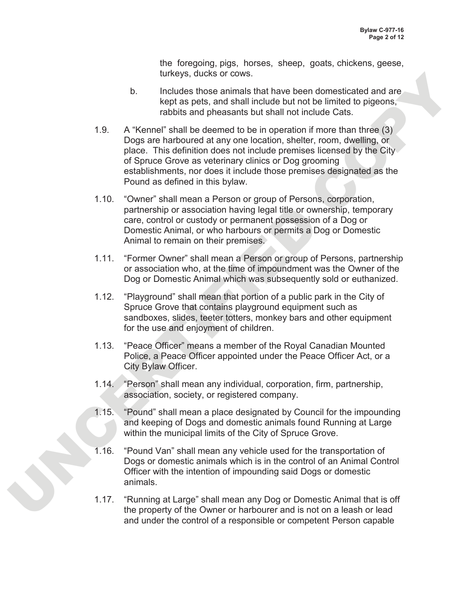the foregoing, pigs, horses, sheep, goats, chickens, geese, turkeys, ducks or cows.

- b. Includes those animals that have been domesticated and are kept as pets, and shall include but not be limited to pigeons, rabbits and pheasants but shall not include Cats.
- Universy, actuals are the three bases of the matter and the control of the particle by the specified of the matter and the matter of the comparison of the matter of the matter of the comparison of the matter of the compari 1.9. A "Kennel" shall be deemed to be in operation if more than three (3) Dogs are harboured at any one location, shelter, room, dwelling, or place. This definition does not include premises licensed by the City of Spruce Grove as veterinary clinics or Dog grooming establishments, nor does it include those premises designated as the Pound as defined in this bylaw.
	- 1.10. "Owner" shall mean a Person or group of Persons, corporation, partnership or association having legal title or ownership, temporary care, control or custody or permanent possession of a Dog or Domestic Animal, or who harbours or permits a Dog or Domestic Animal to remain on their premises.
	- 1.11. "Former Owner" shall mean a Person or group of Persons, partnership or association who, at the time of impoundment was the Owner of the Dog or Domestic Animal which was subsequently sold or euthanized.
	- 1.12. "Playground" shall mean that portion of a public park in the City of Spruce Grove that contains playground equipment such as sandboxes, slides, teeter totters, monkey bars and other equipment for the use and enjoyment of children.
	- 1.13. "Peace Officer" means a member of the Royal Canadian Mounted Police, a Peace Officer appointed under the Peace Officer Act, or a City Bylaw Officer.
	- 1.14. "Person" shall mean any individual, corporation, firm, partnership, association, society, or registered company.
	- 1.15. "Pound" shall mean a place designated by Council for the impounding and keeping of Dogs and domestic animals found Running at Large within the municipal limits of the City of Spruce Grove.
	- 1.16. "Pound Van" shall mean any vehicle used for the transportation of Dogs or domestic animals which is in the control of an Animal Control Officer with the intention of impounding said Dogs or domestic animals.
	- 1.17. "Running at Large" shall mean any Dog or Domestic Animal that is off the property of the Owner or harbourer and is not on a leash or lead and under the control of a responsible or competent Person capable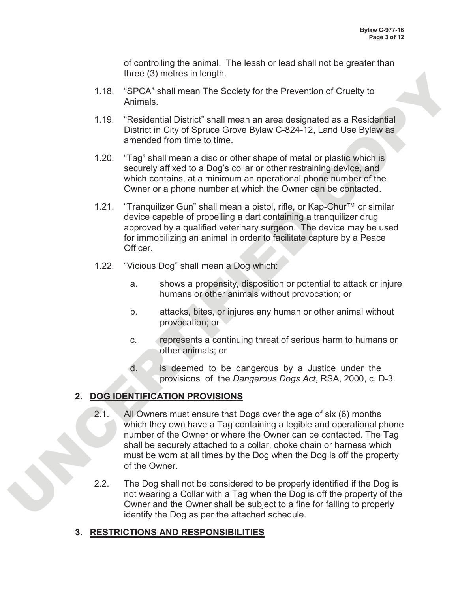of controlling the animal. The leash or lead shall not be greater than three (3) metres in length.

- 1.18. "SPCA" shall mean The Society for the Prevention of Cruelty to Animals.
- 1.19. "Residential District" shall mean an area designated as a Residential District in City of Spruce Grove Bylaw C-824-12, Land Use Bylaw as amended from time to time.
- 1.20. "Tag" shall mean a disc or other shape of metal or plastic which is securely affixed to a Dog's collar or other restraining device, and which contains, at a minimum an operational phone number of the Owner or a phone number at which the Owner can be contacted.
- 1.21. "Tranquilizer Gun" shall mean a pistol, rifle, or Kap-Chur™ or similar device capable of propelling a dart containing a tranquilizer drug approved by a qualified veterinary surgeon. The device may be used for immobilizing an animal in order to facilitate capture by a Peace Officer.
- 1.22. "Vicious Dog" shall mean a Dog which:
	- a. shows a propensity, disposition or potential to attack or injure humans or other animals without provocation; or
	- b. attacks, bites, or injures any human or other animal without provocation; or
	- c. represents a continuing threat of serious harm to humans or other animals; or
	- d. is deemed to be dangerous by a Justice under the provisions of the *Dangerous Dogs Act*, RSA, 2000, c. D-3.

# **2. DOG IDENTIFICATION PROVISIONS**

- three (3) metrics in length.<br>
1.18. "SPCA" shall mean The Society for the Prevention of Cruelty to<br>
Animals.<br>
1.19. "Residential District" shall mean an area designated as a Residential<br>
1.19. "Second for the total control 2.1. All Owners must ensure that Dogs over the age of six (6) months which they own have a Tag containing a legible and operational phone number of the Owner or where the Owner can be contacted. The Tag shall be securely attached to a collar, choke chain or harness which must be worn at all times by the Dog when the Dog is off the property of the Owner.
	- 2.2. The Dog shall not be considered to be properly identified if the Dog is not wearing a Collar with a Tag when the Dog is off the property of the Owner and the Owner shall be subject to a fine for failing to properly identify the Dog as per the attached schedule.

### **3. RESTRICTIONS AND RESPONSIBILITIES**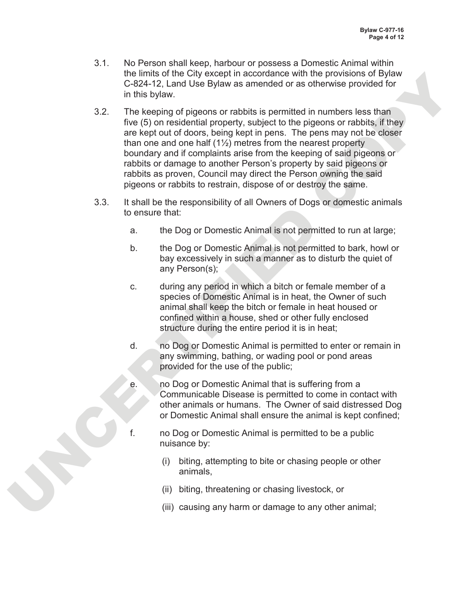- 3.1. No Person shall keep, harbour or possess a Domestic Animal within the limits of the City except in accordance with the provisions of Bylaw C-824-12, Land Use Bylaw as amended or as otherwise provided for in this bylaw.
- the mitroid of the Chylecope) an accordance with the provisions of bylan<br>
the mitroid of the Chylecon or rabbits is permitted in numbers less than<br>
The Keeping of pigeons or rabbits is permitted in numbers less than<br>
The K 3.2. The keeping of pigeons or rabbits is permitted in numbers less than five (5) on residential property, subject to the pigeons or rabbits, if they are kept out of doors, being kept in pens. The pens may not be closer than one and one half  $(1\frac{1}{2})$  metres from the nearest property boundary and if complaints arise from the keeping of said pigeons or rabbits or damage to another Person's property by said pigeons or rabbits as proven, Council may direct the Person owning the said pigeons or rabbits to restrain, dispose of or destroy the same.
	- 3.3. It shall be the responsibility of all Owners of Dogs or domestic animals to ensure that:
		- a. the Dog or Domestic Animal is not permitted to run at large;
		- b. the Dog or Domestic Animal is not permitted to bark, howl or bay excessively in such a manner as to disturb the quiet of any Person(s);
		- c. during any period in which a bitch or female member of a species of Domestic Animal is in heat, the Owner of such animal shall keep the bitch or female in heat housed or confined within a house, shed or other fully enclosed structure during the entire period it is in heat;
		- d. no Dog or Domestic Animal is permitted to enter or remain in any swimming, bathing, or wading pool or pond areas provided for the use of the public;
		- e. no Dog or Domestic Animal that is suffering from a Communicable Disease is permitted to come in contact with other animals or humans. The Owner of said distressed Dog or Domestic Animal shall ensure the animal is kept confined;
		-
		- f. no Dog or Domestic Animal is permitted to be a public nuisance by:
			- (i) biting, attempting to bite or chasing people or other animals,
			- (ii) biting, threatening or chasing livestock, or
			- (iii) causing any harm or damage to any other animal;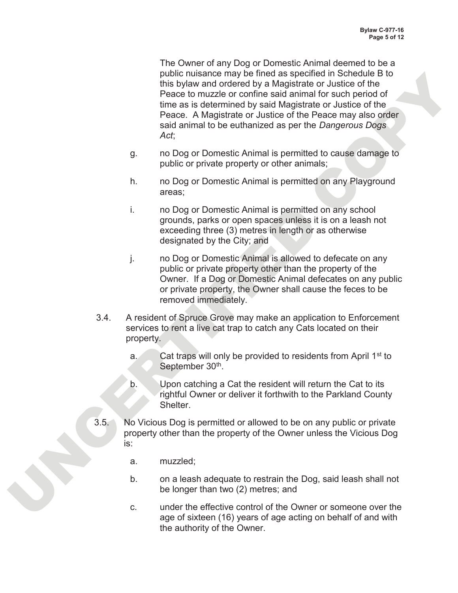public transformation of the metallic state specified to the the public transformation of the control of the Peace. A Magistratic or Justice of the Peace in Magistratic or Justice of the Peace in Magistratic or Justice of The Owner of any Dog or Domestic Animal deemed to be a public nuisance may be fined as specified in Schedule B to this bylaw and ordered by a Magistrate or Justice of the Peace to muzzle or confine said animal for such period of time as is determined by said Magistrate or Justice of the Peace. A Magistrate or Justice of the Peace may also order said animal to be euthanized as per the *Dangerous Dogs Act*;

- g. no Dog or Domestic Animal is permitted to cause damage to public or private property or other animals;
- h. no Dog or Domestic Animal is permitted on any Playground areas;
- i. no Dog or Domestic Animal is permitted on any school grounds, parks or open spaces unless it is on a leash not exceeding three (3) metres in length or as otherwise designated by the City; and
- j. no Dog or Domestic Animal is allowed to defecate on any public or private property other than the property of the Owner. If a Dog or Domestic Animal defecates on any public or private property, the Owner shall cause the feces to be removed immediately.
- 3.4. A resident of Spruce Grove may make an application to Enforcement services to rent a live cat trap to catch any Cats located on their property.
	- a. Cat traps will only be provided to residents from April  $1<sup>st</sup>$  to September 30<sup>th</sup>.
	- b. Upon catching a Cat the resident will return the Cat to its rightful Owner or deliver it forthwith to the Parkland County Shelter.
- 3.5. No Vicious Dog is permitted or allowed to be on any public or private property other than the property of the Owner unless the Vicious Dog is:
	- a. muzzled;
	- b. on a leash adequate to restrain the Dog, said leash shall not be longer than two (2) metres; and
	- c. under the effective control of the Owner or someone over the age of sixteen (16) years of age acting on behalf of and with the authority of the Owner.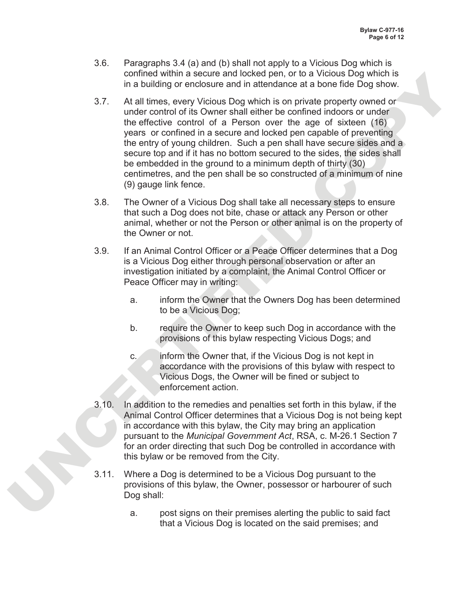- 3.6. Paragraphs 3.4 (a) and (b) shall not apply to a Vicious Dog which is confined within a secure and locked pen, or to a Vicious Dog which is in a building or enclosure and in attendance at a bone fide Dog show.
- contracts with a secure and locket pen, or to a Viccola USQ which a secure that the control of the Sovern Victola Dog which is on pricing precise to contract of the Sovern SM and the secure and locked pen capable of preven 3.7. At all times, every Vicious Dog which is on private property owned or under control of its Owner shall either be confined indoors or under the effective control of a Person over the age of sixteen (16) years or confined in a secure and locked pen capable of preventing the entry of young children. Such a pen shall have secure sides and a secure top and if it has no bottom secured to the sides, the sides shall be embedded in the ground to a minimum depth of thirty (30) centimetres, and the pen shall be so constructed of a minimum of nine (9) gauge link fence.
	- 3.8. The Owner of a Vicious Dog shall take all necessary steps to ensure that such a Dog does not bite, chase or attack any Person or other animal, whether or not the Person or other animal is on the property of the Owner or not.
	- 3.9. If an Animal Control Officer or a Peace Officer determines that a Dog is a Vicious Dog either through personal observation or after an investigation initiated by a complaint, the Animal Control Officer or Peace Officer may in writing:
		- a. inform the Owner that the Owners Dog has been determined to be a Vicious Dog;
		- b. require the Owner to keep such Dog in accordance with the provisions of this bylaw respecting Vicious Dogs; and
		- c. inform the Owner that, if the Vicious Dog is not kept in accordance with the provisions of this bylaw with respect to Vicious Dogs, the Owner will be fined or subject to enforcement action.
	- 3.10. In addition to the remedies and penalties set forth in this bylaw, if the Animal Control Officer determines that a Vicious Dog is not being kept in accordance with this bylaw, the City may bring an application pursuant to the *Municipal Government Act*, RSA, c. M-26.1 Section 7 for an order directing that such Dog be controlled in accordance with this bylaw or be removed from the City.
	- 3.11. Where a Dog is determined to be a Vicious Dog pursuant to the provisions of this bylaw, the Owner, possessor or harbourer of such Dog shall:
		- a. post signs on their premises alerting the public to said fact that a Vicious Dog is located on the said premises; and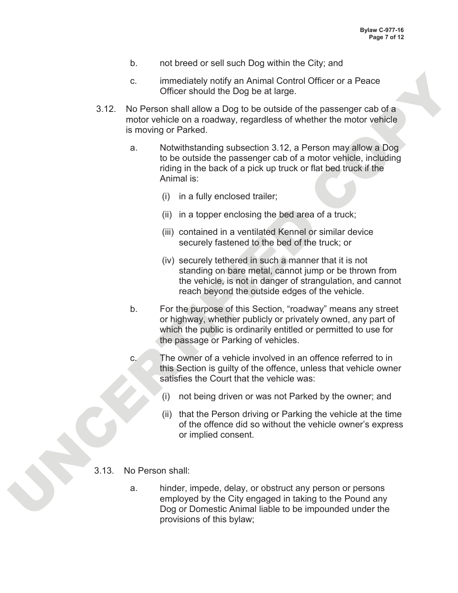- b. not breed or sell such Dog within the City; and
- c. immediately notify an Animal Control Officer or a Peace Officer should the Dog be at large.
- 3.12. No Person shall allow a Dog to be outside of the passenger cab of a motor vehicle on a roadway, regardless of whether the motor vehicle is moving or Parked.
	- a. Notwithstanding subsection 3.12, a Person may allow a Dog to be outside the passenger cab of a motor vehicle, including riding in the back of a pick up truck or flat bed truck if the Animal is:
		- (i) in a fully enclosed trailer;
		- (ii) in a topper enclosing the bed area of a truck;
		- (iii) contained in a ventilated Kennel or similar device securely fastened to the bed of the truck; or
		- (iv) securely tethered in such a manner that it is not standing on bare metal, cannot jump or be thrown from the vehicle, is not in danger of strangulation, and cannot reach beyond the outside edges of the vehicle.
- c.<br>
Immediately notify an Animal Control Officer or a Peace<br>
Officer should the Dog be et altres.<br>
3.12. No Person shall allow a Dog to be outside of the passenger cab of a<br>
motor which en an ideality regardless of whethe b. For the purpose of this Section, "roadway" means any street or highway, whether publicly or privately owned, any part of which the public is ordinarily entitled or permitted to use for the passage or Parking of vehicles.
	- c. The owner of a vehicle involved in an offence referred to in this Section is guilty of the offence, unless that vehicle owner satisfies the Court that the vehicle was:
		- (i) not being driven or was not Parked by the owner; and
		- (ii) that the Person driving or Parking the vehicle at the time of the offence did so without the vehicle owner's express or implied consent.
	- 3.13. No Person shall:
		- a. hinder, impede, delay, or obstruct any person or persons employed by the City engaged in taking to the Pound any Dog or Domestic Animal liable to be impounded under the provisions of this bylaw;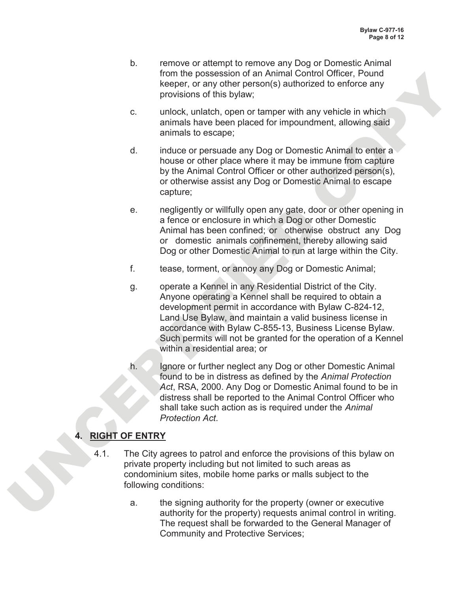- b. remove or attempt to remove any Dog or Domestic Animal from the possession of an Animal Control Officer, Pound keeper, or any other person(s) authorized to enforce any provisions of this bylaw;
- c. unlock, unlatch, open or tamper with any vehicle in which animals have been placed for impoundment, allowing said animals to escape;
- d. induce or persuade any Dog or Domestic Animal to enter a house or other place where it may be immune from capture by the Animal Control Officer or other authorized person(s), or otherwise assist any Dog or Domestic Animal to escape capture;
- e. negligently or willfully open any gate, door or other opening in a fence or enclosure in which a Dog or other Domestic Animal has been confined; or otherwise obstruct any Dog or domestic animals confinement, thereby allowing said Dog or other Domestic Animal to run at large within the City.
- f. tease, torment, or annoy any Dog or Domestic Animal;
- from the possessor of an Animal Control Clincer, Pound<br>
Keeper, or any other person(s) authorized to enforce any<br>
provisions of this bylew.<br>
c unlock, unlatch, open or tamper with any whiche in which<br>
animals have been pl g. operate a Kennel in any Residential District of the City. Anyone operating a Kennel shall be required to obtain a development permit in accordance with Bylaw C-824-12, Land Use Bylaw, and maintain a valid business license in accordance with Bylaw C-855-13, Business License Bylaw. Such permits will not be granted for the operation of a Kennel within a residential area; or
	- h. Ignore or further neglect any Dog or other Domestic Animal found to be in distress as defined by the *Animal Protection Act*, RSA, 2000. Any Dog or Domestic Animal found to be in distress shall be reported to the Animal Control Officer who shall take such action as is required under the *Animal Protection Act*.

# **4. RIGHT OF ENTRY**

- 4.1. The City agrees to patrol and enforce the provisions of this bylaw on private property including but not limited to such areas as condominium sites, mobile home parks or malls subject to the following conditions:
	- a. the signing authority for the property (owner or executive authority for the property) requests animal control in writing. The request shall be forwarded to the General Manager of Community and Protective Services;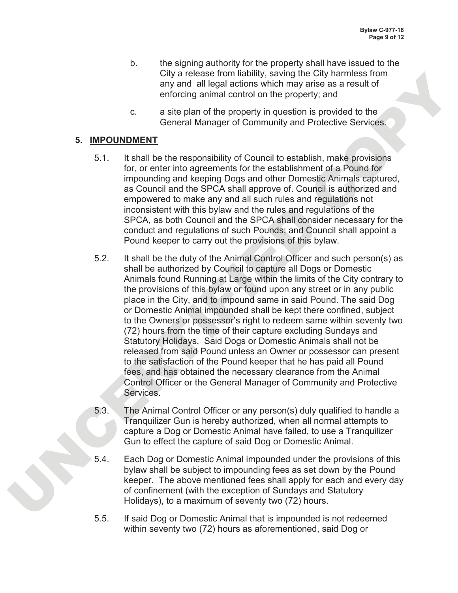- b. the signing authority for the property shall have issued to the City a release from liability, saving the City harmless from any and all legal actions which may arise as a result of enforcing animal control on the property; and
- c. a site plan of the property in question is provided to the General Manager of Community and Protective Services.

### **5. IMPOUNDMENT**

- 5.1. It shall be the responsibility of Council to establish, make provisions for, or enter into agreements for the establishment of a Pound for impounding and keeping Dogs and other Domestic Animals captured, as Council and the SPCA shall approve of. Council is authorized and empowered to make any and all such rules and regulations not inconsistent with this bylaw and the rules and regulations of the SPCA, as both Council and the SPCA shall consider necessary for the conduct and regulations of such Pounds; and Council shall appoint a Pound keeper to carry out the provisions of this bylaw.
- City are least from the light, saving the City and the City and the City and the City and all logial addons which may arese as a result of<br>car any and all logial addons which may arese as a result of<br>car at the property in 5.2. It shall be the duty of the Animal Control Officer and such person(s) as shall be authorized by Council to capture all Dogs or Domestic Animals found Running at Large within the limits of the City contrary to the provisions of this bylaw or found upon any street or in any public place in the City, and to impound same in said Pound. The said Dog or Domestic Animal impounded shall be kept there confined, subject to the Owners or possessor's right to redeem same within seventy two (72) hours from the time of their capture excluding Sundays and Statutory Holidays. Said Dogs or Domestic Animals shall not be released from said Pound unless an Owner or possessor can present to the satisfaction of the Pound keeper that he has paid all Pound fees, and has obtained the necessary clearance from the Animal Control Officer or the General Manager of Community and Protective Services.
	- 5.3. The Animal Control Officer or any person(s) duly qualified to handle a Tranquilizer Gun is hereby authorized, when all normal attempts to capture a Dog or Domestic Animal have failed, to use a Tranquilizer Gun to effect the capture of said Dog or Domestic Animal.
	- 5.4. Each Dog or Domestic Animal impounded under the provisions of this bylaw shall be subject to impounding fees as set down by the Pound keeper. The above mentioned fees shall apply for each and every day of confinement (with the exception of Sundays and Statutory Holidays), to a maximum of seventy two (72) hours.
	- 5.5. If said Dog or Domestic Animal that is impounded is not redeemed within seventy two (72) hours as aforementioned, said Dog or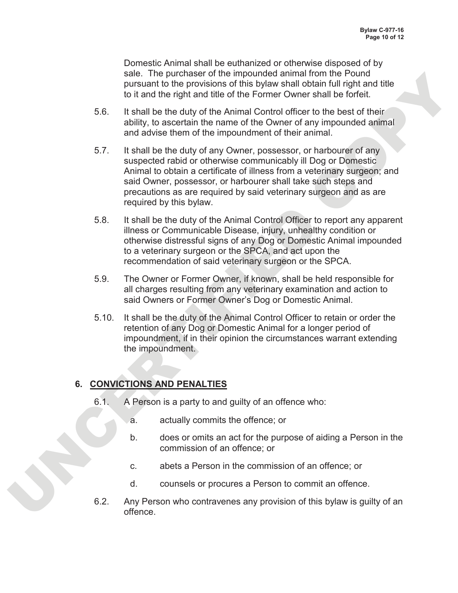Domestic Animal shall be euthanized or otherwise disposed of by sale. The purchaser of the impounded animal from the Pound pursuant to the provisions of this bylaw shall obtain full right and title to it and the right and title of the Former Owner shall be forfeit.

- 5.6. It shall be the duty of the Animal Control officer to the best of their ability, to ascertain the name of the Owner of any impounded animal and advise them of the impoundment of their animal.
- sele. The purchaster of the miponumoles animal from the Point<br>
busines and the provisions of this by day and obtain full right and the<br>
Unit and the right and the driver form comes shall be the fit.<br>
5.6. It shall be the d 5.7. It shall be the duty of any Owner, possessor, or harbourer of any suspected rabid or otherwise communicably ill Dog or Domestic Animal to obtain a certificate of illness from a veterinary surgeon; and said Owner, possessor, or harbourer shall take such steps and precautions as are required by said veterinary surgeon and as are required by this bylaw.
	- 5.8. It shall be the duty of the Animal Control Officer to report any apparent illness or Communicable Disease, injury, unhealthy condition or otherwise distressful signs of any Dog or Domestic Animal impounded to a veterinary surgeon or the SPCA, and act upon the recommendation of said veterinary surgeon or the SPCA.
	- 5.9. The Owner or Former Owner, if known, shall be held responsible for all charges resulting from any veterinary examination and action to said Owners or Former Owner's Dog or Domestic Animal.
	- 5.10. It shall be the duty of the Animal Control Officer to retain or order the retention of any Dog or Domestic Animal for a longer period of impoundment, if in their opinion the circumstances warrant extending the impoundment.

### **6. CONVICTIONS AND PENALTIES**

- 6.1. A Person is a party to and guilty of an offence who:
	- a. actually commits the offence; or
	- b. does or omits an act for the purpose of aiding a Person in the commission of an offence; or
	- c. abets a Person in the commission of an offence; or
	- d. counsels or procures a Person to commit an offence.
- 6.2. Any Person who contravenes any provision of this bylaw is guilty of an offence.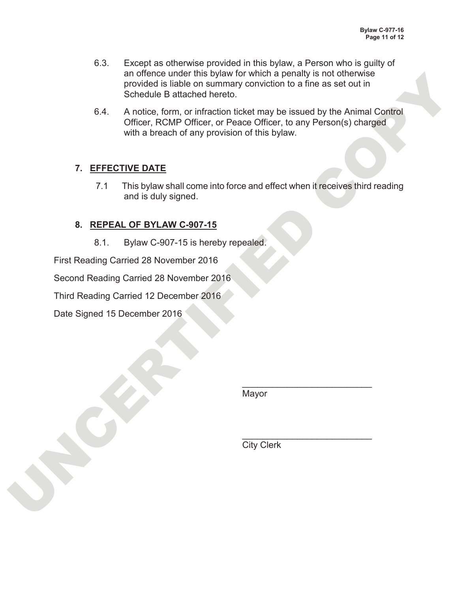- 6.3. Except as otherwise provided in this bylaw, a Person who is guilty of an offence under this bylaw for which a penalty is not otherwise provided is liable on summary conviction to a fine as set out in Schedule B attached hereto.
- an oriented under this bylaw tor which a penalty is not differences<br>conded is latable on summary conviction to a fine as set out in<br>S4. A notice, form, or infraction ticket may be issued by the Animal Control<br>office, in EC 6.4. A notice, form, or infraction ticket may be issued by the Animal Control Officer, RCMP Officer, or Peace Officer, to any Person(s) charged with a breach of any provision of this bylaw.

# **7. EFFECTIVE DATE**

7.1 This bylaw shall come into force and effect when it receives third reading and is duly signed.

## **8. REPEAL OF BYLAW C-907-15**

8.1. Bylaw C-907-15 is hereby repealed.

First Reading Carried 28 November 2016

Second Reading Carried 28 November 2016

Third Reading Carried 12 December 2016

Date Signed 15 December 2016

Mayor

 $\mathcal{L}=\mathcal{L}=\mathcal{L}=\mathcal{L}=\mathcal{L}=\mathcal{L}=\mathcal{L}=\mathcal{L}=\mathcal{L}=\mathcal{L}=\mathcal{L}=\mathcal{L}=\mathcal{L}=\mathcal{L}=\mathcal{L}=\mathcal{L}=\mathcal{L}=\mathcal{L}=\mathcal{L}=\mathcal{L}=\mathcal{L}=\mathcal{L}=\mathcal{L}=\mathcal{L}=\mathcal{L}=\mathcal{L}=\mathcal{L}=\mathcal{L}=\mathcal{L}=\mathcal{L}=\mathcal{L}=\mathcal{L}=\mathcal{L}=\mathcal{L}=\mathcal{L}=\mathcal{L}=\mathcal{$ 

 $\blacktriangle$  , which is a set of the set of the set of the set of the set of the set of the set of the set of the set of the set of the set of the set of the set of the set of the set of the set of the set of the set of the set

**City Clerk**